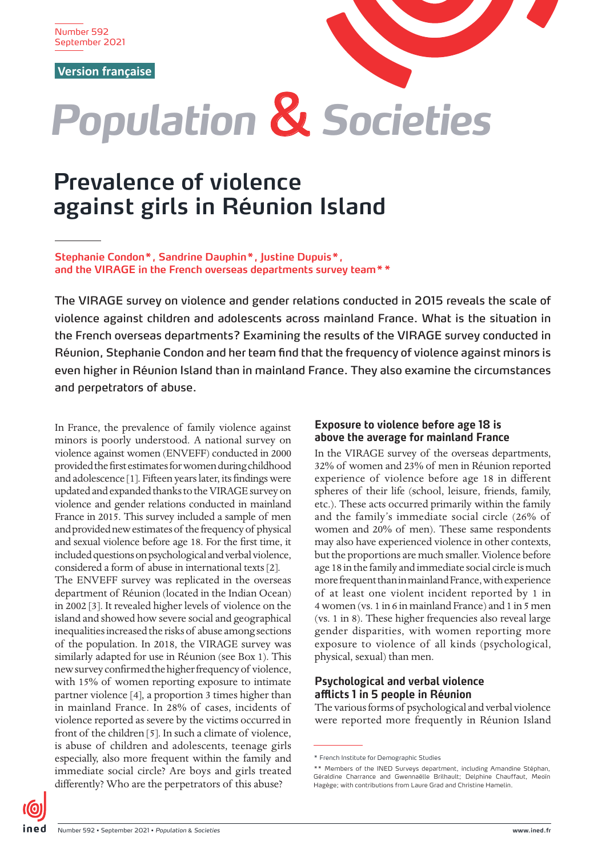Number 592 September 2021

**[Version française](https://www.ined.fr/fr/publications/editions/population-et-societes/femmes-sur-ile-de-la-reunion-fortement-exposees-aux-violences-pendant-enfance-et-adolescence/)**



# *Population* & *Societies*

# **Prevalence of violence against girls in Réunion Island**

**Stephanie Condon\*, Sandrine Dauphin\*, Justine Dupuis\*, and the VIRAGE in the French overseas departments survey team\*\***

The VIRAGE survey on violence and gender relations conducted in 2015 reveals the scale of violence against children and adolescents across mainland France. What is the situation in the French overseas departments? Examining the results of the VIRAGE survey conducted in Réunion, Stephanie Condon and her team find that the frequency of violence against minors is even higher in Réunion Island than in mainland France. They also examine the circumstances and perpetrators of abuse.

In France, the prevalence of family violence against minors is poorly understood. A national survey on violence against women (ENVEFF) conducted in 2000 provided the first estimates for women during childhood and adolescence [1]. Fifteen years later, its findings were updated and expanded thanks to the VIRAGE survey on violence and gender relations conducted in mainland France in 2015. This survey included a sample of men and provided new estimates of the frequency of physical and sexual violence before age 18. For the first time, it included questions on psychological and verbal violence, considered a form of abuse in international texts [2]. The ENVEFF survey was replicated in the overseas department of Réunion (located in the Indian Ocean) in 2002 [3]. It revealed higher levels of violence on the island and showed how severe social and geographical inequalities increased the risks of abuse among sections

of the population. In 2018, the VIRAGE survey was similarly adapted for use in Réunion (see Box 1). This new survey confirmed the higher frequency of violence, with 15% of women reporting exposure to intimate partner violence [4], a proportion 3 times higher than in mainland France. In 28% of cases, incidents of violence reported as severe by the victims occurred in front of the children [5]. In such a climate of violence, is abuse of children and adolescents, teenage girls especially, also more frequent within the family and immediate social circle? Are boys and girls treated differently? Who are the perpetrators of this abuse?

## **Exposure to violence before age 18 is above the average for mainland France**

In the VIRAGE survey of the overseas departments, 32% of women and 23% of men in Réunion reported experience of violence before age 18 in different spheres of their life (school, leisure, friends, family, etc.). These acts occurred primarily within the family and the family's immediate social circle (26% of women and 20% of men). These same respondents may also have experienced violence in other contexts, but the proportions are much smaller. Violence before age 18 in the family and immediate social circle is much more frequent than in mainland France, with experience of at least one violent incident reported by 1 in 4 women (vs. 1 in 6 in mainland France) and 1 in 5 men (vs. 1 in 8). These higher frequencies also reveal large gender disparities, with women reporting more exposure to violence of all kinds (psychological, physical, sexual) than men.

# **Psychological and verbal violence afflicts 1 in 5 people in Réunion**

The various forms of psychological and verbal violence were reported more frequently in Réunion Island

<sup>\*</sup> French Institute for Demographic Studies

<sup>\*\*</sup> Members of the INED Surveys department, including Amandine Stéphan, Géraldine Charrance and Gwennaëlle Brilhault; Delphine Chauffaut, Meoïn Hagège; with contributions from Laure Grad and Christine Hamelin.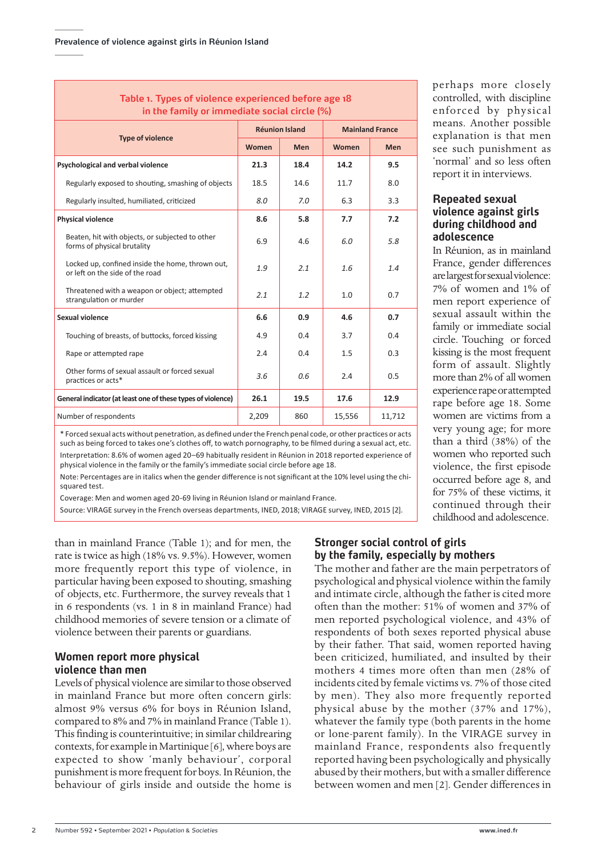# **Table 1. Types of violence experienced before age 18 in the family or immediate social circle (%)**

| <b>Type of violence</b>                                                             | <b>Réunion Island</b> |            | <b>Mainland France</b> |            |
|-------------------------------------------------------------------------------------|-----------------------|------------|------------------------|------------|
|                                                                                     | Women                 | <b>Men</b> | Women                  | <b>Men</b> |
| Psychological and verbal violence                                                   | 21.3                  | 18.4       | 14.2                   | 9.5        |
| Regularly exposed to shouting, smashing of objects                                  | 18.5                  | 14.6       | 11.7                   | 8.0        |
| Regularly insulted, humiliated, criticized                                          | 8.0                   | 7.0        | 6.3                    | 3.3        |
| <b>Physical violence</b>                                                            | 8.6                   | 5.8        | 7.7                    | 7.2        |
| Beaten, hit with objects, or subjected to other<br>forms of physical brutality      | 6.9                   | 4.6        | 6.0                    | 5.8        |
| Locked up, confined inside the home, thrown out,<br>or left on the side of the road | 1.9                   | 2.1        | 1.6                    | 1.4        |
| Threatened with a weapon or object; attempted<br>strangulation or murder            | 2.1                   | 1.2        | 1.0                    | 0.7        |
| Sexual violence                                                                     | 6.6                   | 0.9        | 4.6                    | 0.7        |
| Touching of breasts, of buttocks, forced kissing                                    | 4.9                   | 0.4        | 3.7                    | 0.4        |
| Rape or attempted rape                                                              | 2.4                   | 0.4        | 1.5                    | 0.3        |
| Other forms of sexual assault or forced sexual<br>practices or acts*                | 3.6                   | 0.6        | 2.4                    | 0.5        |
| General indicator (at least one of these types of violence)                         | 26.1                  | 19.5       | 17.6                   | 12.9       |
| Number of respondents                                                               | 2,209                 | 860        | 15,556                 | 11,712     |

\* Forced sexual acts without penetration, as defined under the French penal code, or other practices or acts such as being forced to takes one's clothes off, to watch pornography, to be filmed during a sexual act, etc. Interpretation: 8.6% of women aged 20–69 habitually resident in Réunion in 2018 reported experience of physical violence in the family or the family's immediate social circle before age 18.

Note: Percentages are in italics when the gender difference is not significant at the 10% level using the chisquared test.

Coverage: Men and women aged 20-69 living in Réunion Island or mainland France.

Source: VIRAGE survey in the French overseas departments, INED, 2018; VIRAGE survey, INED, 2015 [2].

than in mainland France (Table 1); and for men, the rate is twice as high (18% vs. 9.5%). However, women more frequently report this type of violence, in particular having been exposed to shouting, smashing of objects, etc. Furthermore, the survey reveals that 1 in 6 respondents (vs. 1 in 8 in mainland France) had childhood memories of severe tension or a climate of violence between their parents or guardians.

#### **Women report more physical violence than men**

Levels of physical violence are similar to those observed in mainland France but more often concern girls: almost 9% versus 6% for boys in Réunion Island, compared to 8% and 7% in mainland France (Table 1). This finding is counterintuitive; in similar childrearing contexts, for example in Martinique [6], where boys are expected to show 'manly behaviour', corporal punishment is more frequent for boys. In Réunion, the behaviour of girls inside and outside the home is

perhaps more closely controlled, with discipline enforced by physical means. Another possible explanation is that men see such punishment as 'normal' and so less often report it in interviews.

### **Repeated sexual violence against girls during childhood and adolescence**

In Réunion, as in mainland France, gender differences are largest for sexual violence: 7% of women and 1% of men report experience of sexual assault within the family or immediate social circle. Touching or forced kissing is the most frequent form of assault. Slightly more than 2% of all women experience rape or attempted rape before age 18. Some women are victims from a very young age; for more than a third (38%) of the women who reported such violence, the first episode occurred before age 8, and for 75% of these victims, it continued through their childhood and adolescence.

# **Stronger social control of girls by the family, especially by mothers**

The mother and father are the main perpetrators of psychological and physical violence within the family and intimate circle, although the father is cited more often than the mother: 51% of women and 37% of men reported psychological violence, and 43% of respondents of both sexes reported physical abuse by their father. That said, women reported having been criticized, humiliated, and insulted by their mothers 4 times more often than men (28% of incidents cited by female victims vs. 7% of those cited by men). They also more frequently reported physical abuse by the mother (37% and 17%), whatever the family type (both parents in the home or lone-parent family). In the VIRAGE survey in mainland France, respondents also frequently reported having been psychologically and physically abused by their mothers, but with a smaller difference between women and men [2]. Gender differences in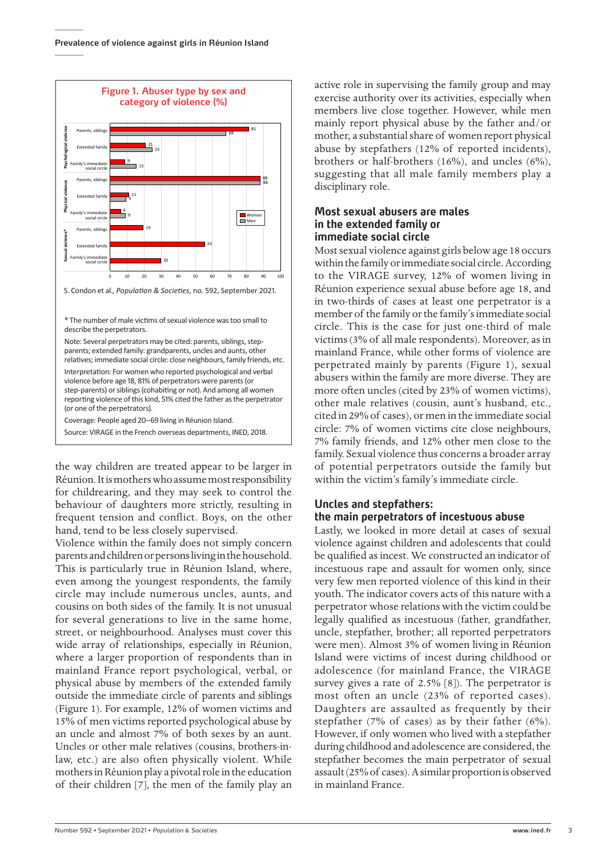

\* The number of male victims of sexual violence was too small to describe the perpetrators.

Note: Several perpetrators may be cited: parents, siblings, stepparents; extended family: grandparents, uncles and aunts, other relatives; immediate social circle: close neighbours, family friends, etc. Interpretation: For women who reported psychological and verbal violence before age 18, 81% of perpetrators were parents (or step-parents) or siblings (cohabiting or not). And among all women reporting violence of this kind, 51% cited the father as the perpetrator (or one of the perpetrators). Coverage: People aged 20–69 living in Réunion Island.

Source: VIRAGE in the French overseas departments, INED, 2018.

the way children are treated appear to be larger in Réunion. It is mothers who assume most responsibility for childrearing, and they may seek to control the behaviour of daughters more strictly, resulting in frequent tension and conflict. Boys, on the other hand, tend to be less closely supervised.

Violence within the family does not simply concern parents and children or persons living in the household. This is particularly true in Réunion Island, where, even among the youngest respondents, the family circle may include numerous uncles, aunts, and cousins on both sides of the family. It is not unusual for several generations to live in the same home, street, or neighbourhood. Analyses must cover this wide array of relationships, especially in Réunion, where a larger proportion of respondents than in mainland France report psychological, verbal, or physical abuse by members of the extended family outside the immediate circle of parents and siblings (Figure 1). For example, 12% of women victims and 15% of men victims reported psychological abuse by an uncle and almost 7% of both sexes by an aunt. Uncles or other male relatives (cousins, brothers-inlaw, etc.) are also often physically violent. While mothers in Réunion play a pivotal role in the education of their children [7], the men of the family play an

active role in supervising the family group and may exercise authority over its activities, especially when members live close together. However, while men mainly report physical abuse by the father and/or mother, a substantial share of women report physical abuse by stepfathers (12% of reported incidents), brothers or half-brothers (16%), and uncles (6%), suggesting that all male family members play a disciplinary role.

#### **Most sexual abusers are males in the extended family or immediate social circle**

Most sexual violence against girls below age 18 occurs within the family or immediate social circle. According to the VIRAGE survey, 12% of women living in Réunion experience sexual abuse before age 18, and in two-thirds of cases at least one perpetrator is a member of the family or the family's immediate social circle. This is the case for just one-third of male victims (3% of all male respondents). Moreover, as in mainland France, while other forms of violence are perpetrated mainly by parents (Figure 1), sexual abusers within the family are more diverse. They are more often uncles (cited by 23% of women victims), other male relatives (cousin, aunt's husband, etc., cited in 29% of cases), or men in the immediate social circle: 7% of women victims cite close neighbours, 7% family friends, and 12% other men close to the family. Sexual violence thus concerns a broader array of potential perpetrators outside the family but within the victim's family's immediate circle.

# **Uncles and stepfathers: the main perpetrators of incestuous abuse**

Lastly, we looked in more detail at cases of sexual violence against children and adolescents that could be qualified as incest. We constructed an indicator of incestuous rape and assault for women only, since very few men reported violence of this kind in their youth. The indicator covers acts of this nature with a perpetrator whose relations with the victim could be legally qualified as incestuous (father, grandfather, uncle, stepfather, brother; all reported perpetrators were men). Almost 3% of women living in Réunion Island were victims of incest during childhood or adolescence (for mainland France, the VIRAGE survey gives a rate of 2.5% [8]). The perpetrator is most often an uncle (23% of reported cases). Daughters are assaulted as frequently by their stepfather (7% of cases) as by their father (6%). However, if only women who lived with a stepfather during childhood and adolescence are considered, the stepfather becomes the main perpetrator of sexual assault (25% of cases). A similar proportion is observed in mainland France.